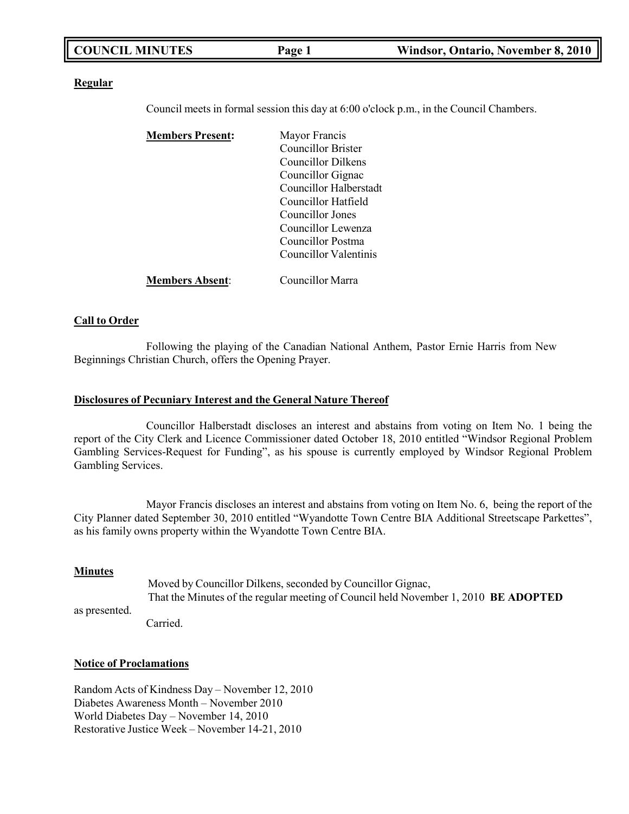| <b>COUNCIL MINUTES</b> | Page 1 | Windsor, Ontario, November 8, 2010 |
|------------------------|--------|------------------------------------|
|                        |        |                                    |

#### **Regular**

Council meets in formal session this day at 6:00 o'clock p.m., in the Council Chambers.

| <b>Members Present:</b> | Mayor Francis             |
|-------------------------|---------------------------|
|                         | <b>Councillor Brister</b> |
|                         | Councillor Dilkens        |
|                         | Councillor Gignac         |
|                         | Councillor Halberstadt    |
|                         | Councillor Hatfield       |
|                         | Councillor Jones          |
|                         | Councillor Lewenza        |
|                         | Councillor Postma         |
|                         | Councillor Valentinis     |
| <b>Members Absent:</b>  | Councillor Marra          |

#### **Call to Order**

Following the playing of the Canadian National Anthem, Pastor Ernie Harris from New Beginnings Christian Church, offers the Opening Prayer.

#### **Disclosures of Pecuniary Interest and the General Nature Thereof**

Councillor Halberstadt discloses an interest and abstains from voting on Item No. 1 being the report of the City Clerk and Licence Commissioner dated October 18, 2010 entitled "Windsor Regional Problem Gambling Services-Request for Funding", as his spouse is currently employed by Windsor Regional Problem Gambling Services.

Mayor Francis discloses an interest and abstains from voting on Item No. 6, being the report of the City Planner dated September 30, 2010 entitled "Wyandotte Town Centre BIA Additional Streetscape Parkettes", as his family owns property within the Wyandotte Town Centre BIA.

#### **Minutes**

as presented.

Moved by Councillor Dilkens, seconded by Councillor Gignac, That the Minutes of the regular meeting of Council held November 1, 2010 **BE ADOPTED**

Carried.

#### **Notice of Proclamations**

Random Acts of Kindness Day – November 12, 2010 Diabetes Awareness Month – November 2010 World Diabetes Day – November 14, 2010 Restorative Justice Week – November 14-21, 2010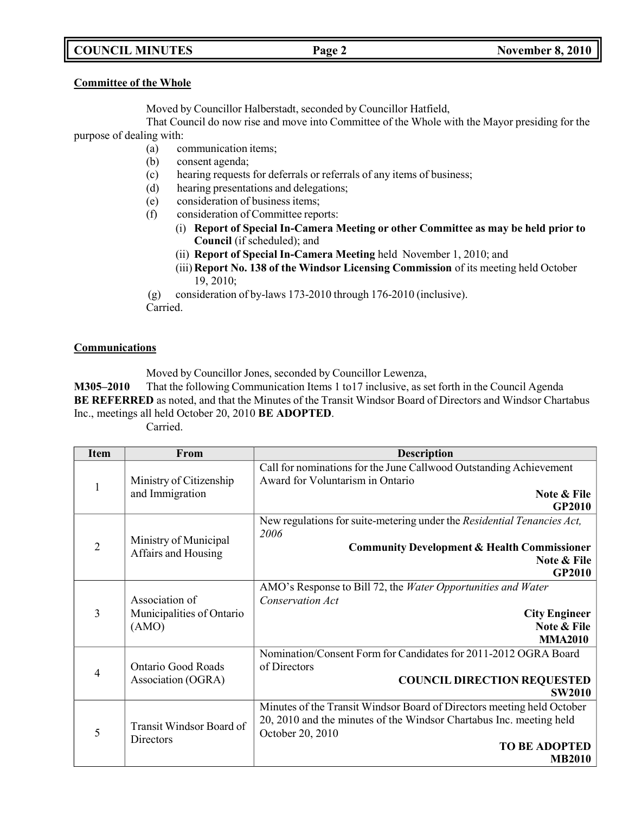## **COUNCIL MINUTES Page 2 November 8, 2010**

#### **Committee of the Whole**

Moved by Councillor Halberstadt, seconded by Councillor Hatfield,

That Council do now rise and move into Committee of the Whole with the Mayor presiding for the purpose of dealing with:

- (a) communication items;
- (b) consent agenda;
- (c) hearing requests for deferrals or referrals of any items of business;
- (d) hearing presentations and delegations;
- (e) consideration of business items;
- (f) consideration of Committee reports:
	- (i) **Report of Special In-Camera Meeting or other Committee as may be held prior to Council** (if scheduled); and
	- (ii) **Report of Special In-Camera Meeting** held November 1, 2010; and
	- (iii) **Report No. 138 of the Windsor Licensing Commission** of its meeting held October 19, 2010;

(g) consideration of by-laws 173-2010 through 176-2010 (inclusive). Carried.

### **Communications**

Moved by Councillor Jones, seconded by Councillor Lewenza,

**M305–2010** That the following Communication Items 1 to17 inclusive, as set forth in the Council Agenda **BE REFERRED** as noted, and that the Minutes of the Transit Windsor Board of Directors and Windsor Chartabus Inc., meetings all held October 20, 2010 **BE ADOPTED**.

Carried.

| <b>Item</b>    | From                                                 | <b>Description</b>                                                      |
|----------------|------------------------------------------------------|-------------------------------------------------------------------------|
|                |                                                      | Call for nominations for the June Callwood Outstanding Achievement      |
| 1              | Ministry of Citizenship                              | Award for Voluntarism in Ontario                                        |
|                | and Immigration                                      | Note & File                                                             |
|                |                                                      | <b>GP2010</b>                                                           |
|                |                                                      | New regulations for suite-metering under the Residential Tenancies Act, |
|                | Ministry of Municipal                                | 2006                                                                    |
| $\overline{2}$ | Affairs and Housing                                  | <b>Community Development &amp; Health Commissioner</b>                  |
|                |                                                      | Note & File                                                             |
|                |                                                      | <b>GP2010</b>                                                           |
|                |                                                      | AMO's Response to Bill 72, the Water Opportunities and Water            |
|                | Association of<br>Municipalities of Ontario<br>(AMO) | Conservation Act                                                        |
| 3              |                                                      | <b>City Engineer</b>                                                    |
|                |                                                      | Note & File                                                             |
|                |                                                      | <b>MMA2010</b>                                                          |
|                |                                                      | Nomination/Consent Form for Candidates for 2011-2012 OGRA Board         |
| 4              | <b>Ontario Good Roads</b><br>Association (OGRA)      | of Directors                                                            |
|                |                                                      | <b>COUNCIL DIRECTION REQUESTED</b>                                      |
|                |                                                      | <b>SW2010</b>                                                           |
|                |                                                      | Minutes of the Transit Windsor Board of Directors meeting held October  |
|                | Transit Windsor Board of<br>Directors                | 20, 2010 and the minutes of the Windsor Chartabus Inc. meeting held     |
| 5              |                                                      | October 20, 2010                                                        |
|                |                                                      | <b>TO BE ADOPTED</b>                                                    |
|                |                                                      | <b>MB2010</b>                                                           |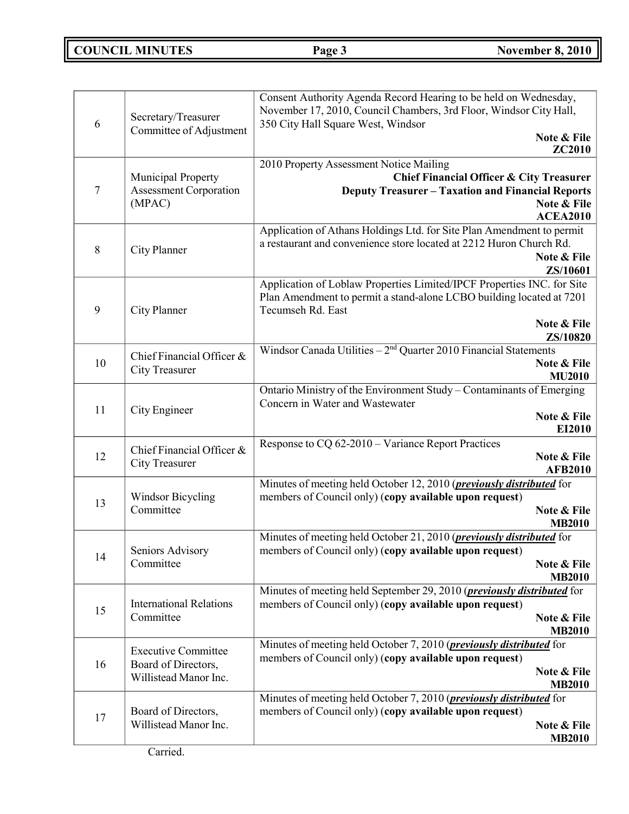## **COUNCIL MINUTES Page 3 November 8, 2010**

| 6  | Secretary/Treasurer<br>Committee of Adjustment                             | Consent Authority Agenda Record Hearing to be held on Wednesday,<br>November 17, 2010, Council Chambers, 3rd Floor, Windsor City Hall,<br>350 City Hall Square West, Windsor<br>Note & File<br><b>ZC2010</b> |
|----|----------------------------------------------------------------------------|--------------------------------------------------------------------------------------------------------------------------------------------------------------------------------------------------------------|
| 7  | <b>Municipal Property</b><br><b>Assessment Corporation</b><br>(MPAC)       | 2010 Property Assessment Notice Mailing<br><b>Chief Financial Officer &amp; City Treasurer</b><br><b>Deputy Treasurer - Taxation and Financial Reports</b><br>Note & File<br><b>ACEA2010</b>                 |
| 8  | City Planner                                                               | Application of Athans Holdings Ltd. for Site Plan Amendment to permit<br>a restaurant and convenience store located at 2212 Huron Church Rd.<br>Note & File<br>ZS/10601                                      |
| 9  | City Planner                                                               | Application of Loblaw Properties Limited/IPCF Properties INC. for Site<br>Plan Amendment to permit a stand-alone LCBO building located at 7201<br>Tecumseh Rd. East<br>Note & File                           |
| 10 | Chief Financial Officer &<br><b>City Treasurer</b>                         | ZS/10820<br>Windsor Canada Utilities $-2nd$ Quarter 2010 Financial Statements<br>Note & File<br><b>MU2010</b>                                                                                                |
| 11 | City Engineer                                                              | Ontario Ministry of the Environment Study - Contaminants of Emerging<br>Concern in Water and Wastewater<br>Note & File<br>EI2010                                                                             |
| 12 | Chief Financial Officer &<br><b>City Treasurer</b>                         | Response to CQ 62-2010 - Variance Report Practices<br>Note & File<br><b>AFB2010</b>                                                                                                                          |
| 13 | <b>Windsor Bicycling</b><br>Committee                                      | Minutes of meeting held October 12, 2010 ( <i>previously distributed</i> for<br>members of Council only) (copy available upon request)<br>Note & File<br><b>MB2010</b>                                       |
| 14 | Seniors Advisory<br>Committee                                              | Minutes of meeting held October 21, 2010 ( <i>previously distributed</i> for<br>members of Council only) (copy available upon request)<br>Note & File<br><b>MB2010</b>                                       |
| 15 | <b>International Relations</b><br>Committee                                | Minutes of meeting held September 29, 2010 ( <i>previously distributed</i> for<br>members of Council only) (copy available upon request)<br>Note & File<br><b>MB2010</b>                                     |
| 16 | <b>Executive Committee</b><br>Board of Directors,<br>Willistead Manor Inc. | Minutes of meeting held October 7, 2010 ( <i>previously distributed</i> for<br>members of Council only) (copy available upon request)<br>Note & File<br><b>MB2010</b>                                        |
| 17 | Board of Directors,<br>Willistead Manor Inc.                               | Minutes of meeting held October 7, 2010 ( <i>previously distributed</i> for<br>members of Council only) (copy available upon request)<br>Note & File<br><b>MB2010</b>                                        |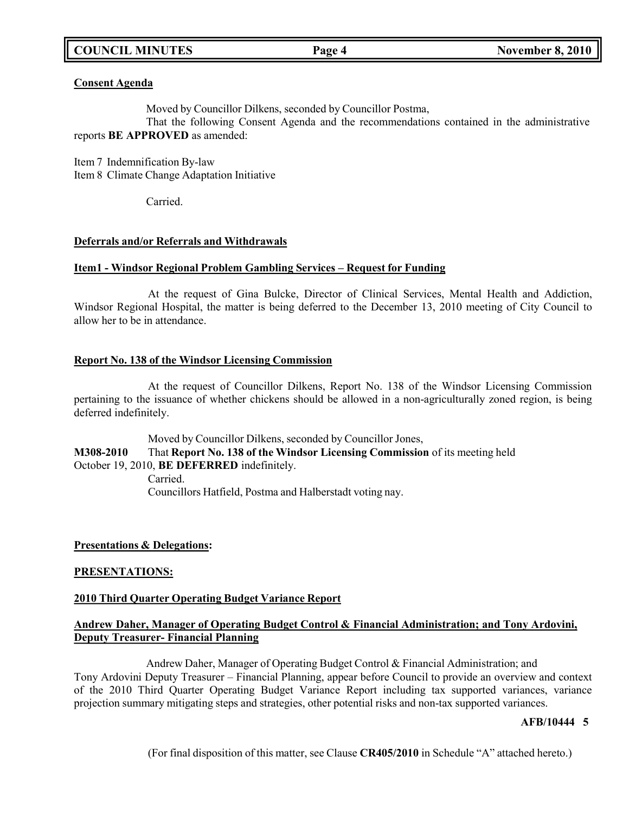## **COUNCIL MINUTES Page 4 November 8, 2010**

#### **Consent Agenda**

Moved by Councillor Dilkens, seconded by Councillor Postma,

That the following Consent Agenda and the recommendations contained in the administrative reports **BE APPROVED** as amended:

Item 7 Indemnification By-law Item 8 Climate Change Adaptation Initiative

Carried.

### **Deferrals and/or Referrals and Withdrawals**

### **Item1 - Windsor Regional Problem Gambling Services – Request for Funding**

At the request of Gina Bulcke, Director of Clinical Services, Mental Health and Addiction, Windsor Regional Hospital, the matter is being deferred to the December 13, 2010 meeting of City Council to allow her to be in attendance.

#### **Report No. 138 of the Windsor Licensing Commission**

At the request of Councillor Dilkens, Report No. 138 of the Windsor Licensing Commission pertaining to the issuance of whether chickens should be allowed in a non-agriculturally zoned region, is being deferred indefinitely.

Moved by Councillor Dilkens, seconded by Councillor Jones, **M308-2010** That **Report No. 138 of the Windsor Licensing Commission** of its meeting held October 19, 2010, **BE DEFERRED** indefinitely. Carried. Councillors Hatfield, Postma and Halberstadt voting nay.

### **Presentations & Delegations:**

### **PRESENTATIONS:**

### **2010 Third Quarter Operating Budget Variance Report**

### **Andrew Daher, Manager of Operating Budget Control & Financial Administration; and Tony Ardovini, Deputy Treasurer- Financial Planning**

Andrew Daher, Manager of Operating Budget Control & Financial Administration; and Tony Ardovini Deputy Treasurer – Financial Planning, appear before Council to provide an overview and context of the 2010 Third Quarter Operating Budget Variance Report including tax supported variances, variance projection summary mitigating steps and strategies, other potential risks and non-tax supported variances.

### **AFB/10444 5**

(For final disposition of this matter, see Clause **CR405/2010** in Schedule "A" attached hereto.)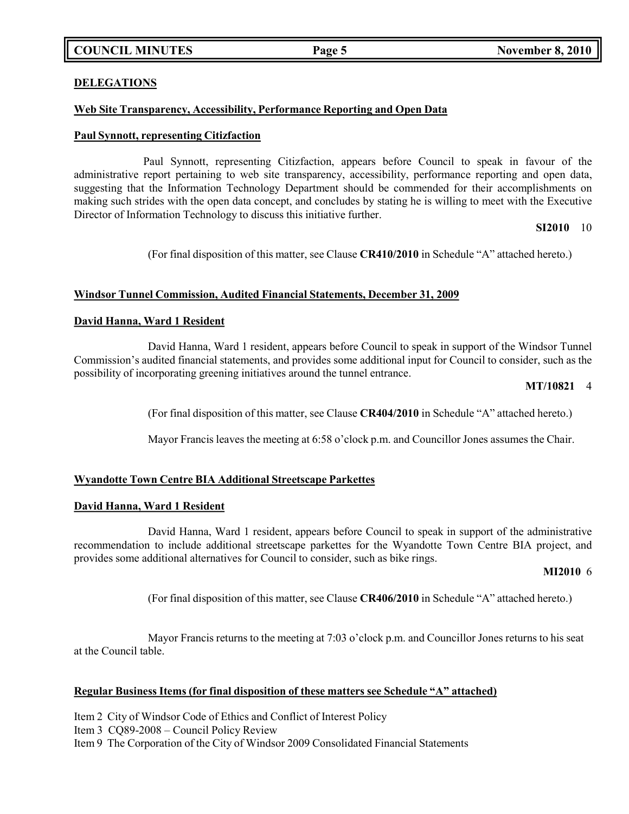## **COUNCIL MINUTES Page 5 November 8, 2010**

## **DELEGATIONS**

#### **Web Site Transparency, Accessibility, Performance Reporting and Open Data**

#### **Paul Synnott, representing Citizfaction**

Paul Synnott, representing Citizfaction, appears before Council to speak in favour of the administrative report pertaining to web site transparency, accessibility, performance reporting and open data, suggesting that the Information Technology Department should be commended for their accomplishments on making such strides with the open data concept, and concludes by stating he is willing to meet with the Executive Director of Information Technology to discuss this initiative further.

#### **SI2010** 10

(For final disposition of this matter, see Clause **CR410/2010** in Schedule "A" attached hereto.)

#### **Windsor Tunnel Commission, Audited Financial Statements, December 31, 2009**

#### **David Hanna, Ward 1 Resident**

David Hanna, Ward 1 resident, appears before Council to speak in support of the Windsor Tunnel Commission's audited financial statements, and provides some additional input for Council to consider, such as the possibility of incorporating greening initiatives around the tunnel entrance.

#### **MT/10821** 4

(For final disposition of this matter, see Clause **CR404/2010** in Schedule "A" attached hereto.)

Mayor Francis leaves the meeting at 6:58 o'clock p.m. and Councillor Jones assumes the Chair.

#### **Wyandotte Town Centre BIA Additional Streetscape Parkettes**

#### **David Hanna, Ward 1 Resident**

David Hanna, Ward 1 resident, appears before Council to speak in support of the administrative recommendation to include additional streetscape parkettes for the Wyandotte Town Centre BIA project, and provides some additional alternatives for Council to consider, such as bike rings.

#### **MI2010** 6

(For final disposition of this matter, see Clause **CR406/2010** in Schedule "A" attached hereto.)

Mayor Francis returns to the meeting at 7:03 o'clock p.m. and Councillor Jones returns to his seat at the Council table.

### **Regular Business Items (for final disposition of these matters see Schedule "A" attached)**

Item 2 City of Windsor Code of Ethics and Conflict of Interest Policy Item 3 CQ89-2008 – Council Policy Review Item 9 The Corporation of the City of Windsor 2009 Consolidated Financial Statements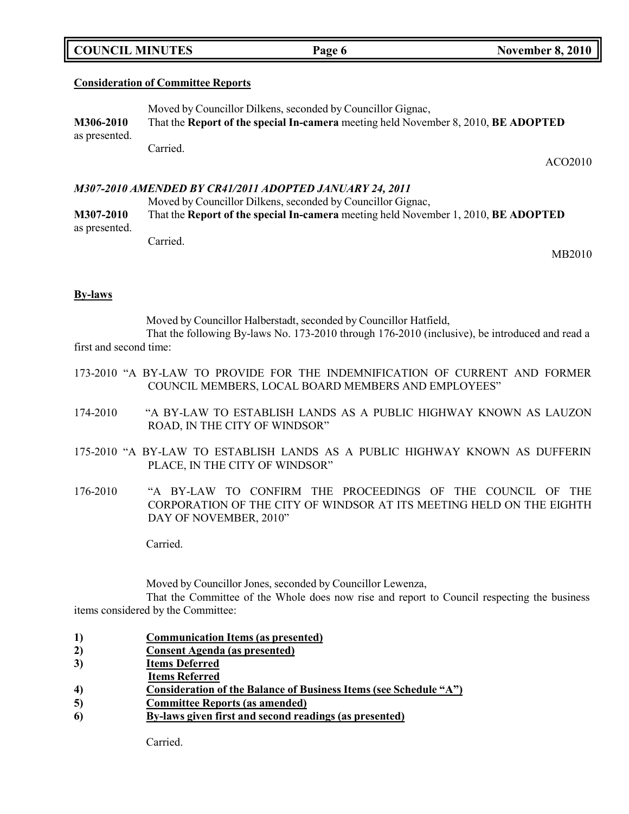|  | <b>COUNCIL MINUTES</b> |
|--|------------------------|
|--|------------------------|

#### **Consideration of Committee Reports**

Moved by Councillor Dilkens, seconded by Councillor Gignac, **M306-2010** That the **Report of the special In-camera** meeting held November 8, 2010, **BE ADOPTED** as presented. Carried.

ACO2010

#### *M307-2010 AMENDED BY CR41/2011 ADOPTED JANUARY 24, 2011*

Moved by Councillor Dilkens, seconded by Councillor Gignac, **M307-2010** That the **Report of the special In-camera** meeting held November 1, 2010, **BE ADOPTED** as presented. Carried.

MB2010

#### **By-laws**

Moved by Councillor Halberstadt, seconded by Councillor Hatfield,

That the following By-laws No. 173-2010 through 176-2010 (inclusive), be introduced and read a first and second time:

- 173-2010 "A BY-LAW TO PROVIDE FOR THE INDEMNIFICATION OF CURRENT AND FORMER COUNCIL MEMBERS, LOCAL BOARD MEMBERS AND EMPLOYEES"
- 174-2010 "A BY-LAW TO ESTABLISH LANDS AS A PUBLIC HIGHWAY KNOWN AS LAUZON ROAD, IN THE CITY OF WINDSOR"
- 175-2010 "A BY-LAW TO ESTABLISH LANDS AS A PUBLIC HIGHWAY KNOWN AS DUFFERIN PLACE, IN THE CITY OF WINDSOR"
- 176-2010 "A BY-LAW TO CONFIRM THE PROCEEDINGS OF THE COUNCIL OF THE CORPORATION OF THE CITY OF WINDSOR AT ITS MEETING HELD ON THE EIGHTH DAY OF NOVEMBER, 2010"

Carried.

Moved by Councillor Jones, seconded by Councillor Lewenza,

That the Committee of the Whole does now rise and report to Council respecting the business items considered by the Committee:

- **1) Communication Items (as presented)**
- **2) Consent Agenda (as presented)**
- **3) Items Deferred**
- **Items Referred**
- **4) Consideration of the Balance of Business Items (see Schedule "A")**
- **5) Committee Reports (as amended)**
- **6) By-laws given first and second readings (as presented)**

Carried.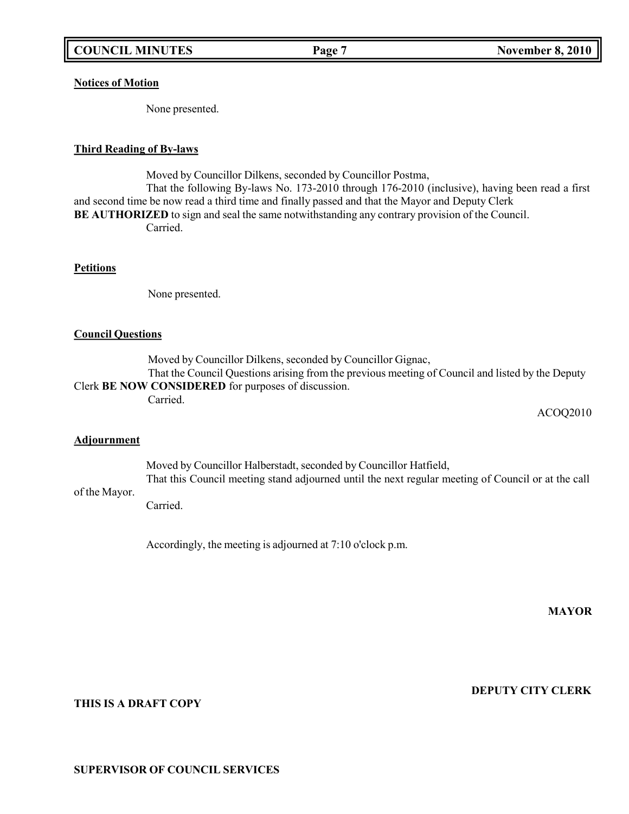## **Notices of Motion**

None presented.

#### **Third Reading of By-laws**

Moved by Councillor Dilkens, seconded by Councillor Postma, That the following By-laws No. 173-2010 through 176-2010 (inclusive), having been read a first and second time be now read a third time and finally passed and that the Mayor and Deputy Clerk **BE AUTHORIZED** to sign and seal the same notwithstanding any contrary provision of the Council. Carried.

#### **Petitions**

None presented.

#### **Council Questions**

Moved by Councillor Dilkens, seconded by Councillor Gignac, That the Council Questions arising from the previous meeting of Council and listed by the Deputy Clerk **BE NOW CONSIDERED** for purposes of discussion.

Carried.

ACOQ2010

#### **Adjournment**

Moved by Councillor Halberstadt, seconded by Councillor Hatfield, That this Council meeting stand adjourned until the next regular meeting of Council or at the call

### of the Mayor.

Carried.

Accordingly, the meeting is adjourned at 7:10 o'clock p.m.

**MAYOR**

**DEPUTY CITY CLERK**

## **THIS IS A DRAFT COPY**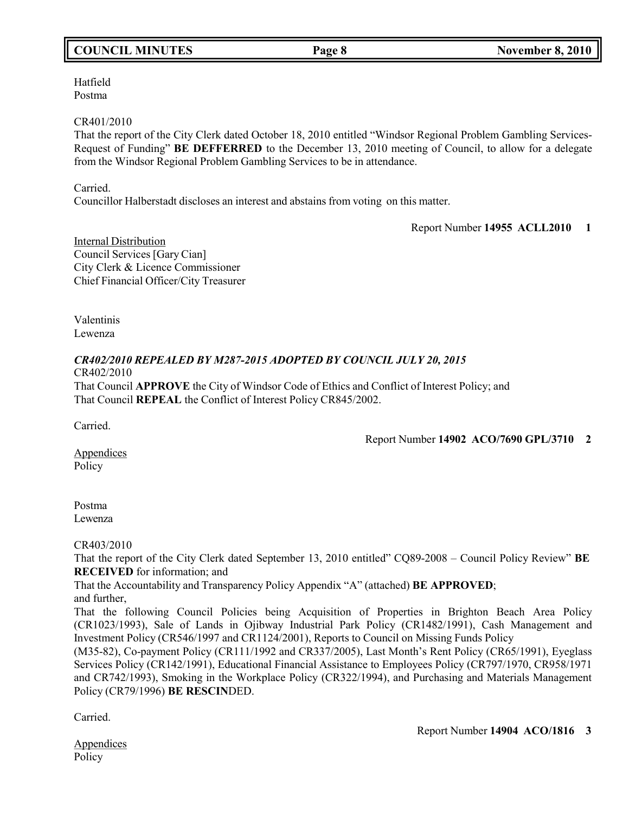## **COUNCIL MINUTES Page 8 November 8, 2010**

Hatfield Postma

#### CR401/2010

That the report of the City Clerk dated October 18, 2010 entitled "Windsor Regional Problem Gambling Services-Request of Funding" **BE DEFFERRED** to the December 13, 2010 meeting of Council, to allow for a delegate from the Windsor Regional Problem Gambling Services to be in attendance.

Carried.

Councillor Halberstadt discloses an interest and abstains from voting on this matter.

Report Number **14955 ACLL2010 1**

Internal Distribution Council Services [Gary Cian] City Clerk & Licence Commissioner Chief Financial Officer/City Treasurer

Valentinis Lewenza

#### *CR402/2010 REPEALED BY M287-2015 ADOPTED BY COUNCIL JULY 20, 2015* CR402/2010

That Council **APPROVE** the City of Windsor Code of Ethics and Conflict of Interest Policy; and That Council **REPEAL** the Conflict of Interest Policy CR845/2002.

Carried.

Report Number **14902 ACO/7690 GPL/3710 2**

Appendices Policy

Postma Lewenza

## CR403/2010

That the report of the City Clerk dated September 13, 2010 entitled" CQ89-2008 – Council Policy Review" **BE RECEIVED** for information; and

That the Accountability and Transparency Policy Appendix "A" (attached) **BE APPROVED**; and further,

That the following Council Policies being Acquisition of Properties in Brighton Beach Area Policy (CR1023/1993), Sale of Lands in Ojibway Industrial Park Policy (CR1482/1991), Cash Management and Investment Policy (CR546/1997 and CR1124/2001), Reports to Council on Missing Funds Policy

(M35-82), Co-payment Policy (CR111/1992 and CR337/2005), Last Month's Rent Policy (CR65/1991), Eyeglass Services Policy (CR142/1991), Educational Financial Assistance to Employees Policy (CR797/1970, CR958/1971 and CR742/1993), Smoking in the Workplace Policy (CR322/1994), and Purchasing and Materials Management Policy (CR79/1996) **BE RESCIN**DED.

Carried.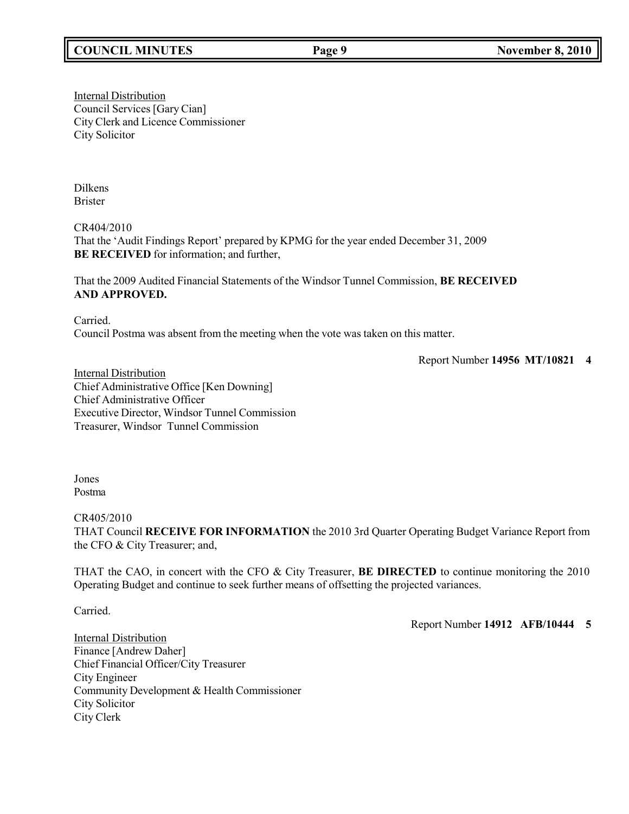## **COUNCIL MINUTES Page 9 November 8, 2010**

**Internal Distribution** Council Services [Gary Cian] City Clerk and Licence Commissioner City Solicitor

Dilkens Brister

CR404/2010 That the 'Audit Findings Report' prepared by KPMG for the year ended December 31, 2009 **BE RECEIVED** for information; and further,

That the 2009 Audited Financial Statements of the Windsor Tunnel Commission, **BE RECEIVED AND APPROVED.**

Carried.

Council Postma was absent from the meeting when the vote was taken on this matter.

Report Number **14956 MT/10821 4**

**Internal Distribution** Chief Administrative Office [Ken Downing] Chief Administrative Officer Executive Director, Windsor Tunnel Commission Treasurer, Windsor Tunnel Commission

Jones Postma

CR405/2010

THAT Council **RECEIVE FOR INFORMATION** the 2010 3rd Quarter Operating Budget Variance Report from the CFO & City Treasurer; and,

THAT the CAO, in concert with the CFO & City Treasurer, **BE DIRECTED** to continue monitoring the 2010 Operating Budget and continue to seek further means of offsetting the projected variances.

Carried.

Report Number **14912 AFB/10444 5**

Internal Distribution Finance [Andrew Daher] Chief Financial Officer/City Treasurer City Engineer Community Development & Health Commissioner City Solicitor City Clerk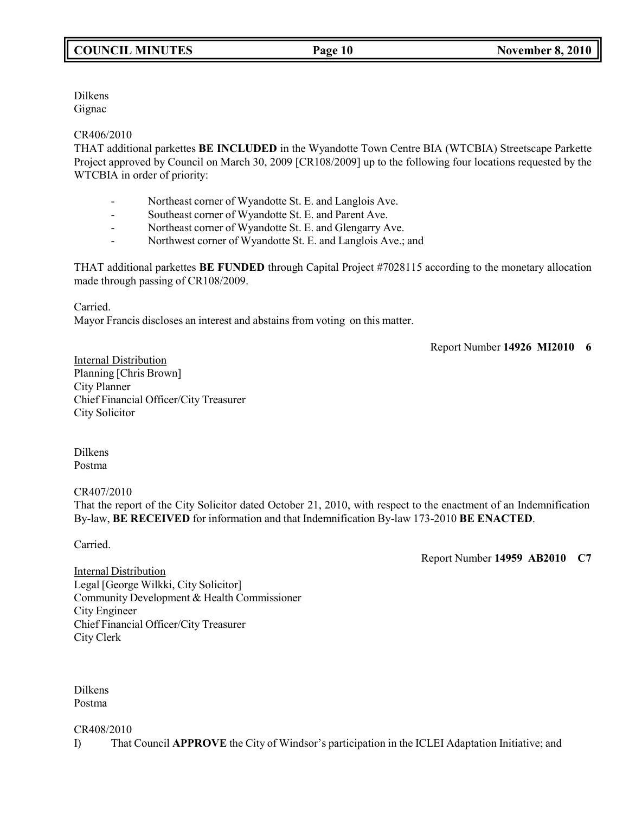Dilkens Gignac

### CR406/2010

THAT additional parkettes **BE INCLUDED** in the Wyandotte Town Centre BIA (WTCBIA) Streetscape Parkette Project approved by Council on March 30, 2009 [CR108/2009] up to the following four locations requested by the WTCBIA in order of priority:

- Northeast corner of Wyandotte St. E. and Langlois Ave.
- Southeast corner of Wyandotte St. E. and Parent Ave.
- Northeast corner of Wyandotte St. E. and Glengarry Ave.
- Northwest corner of Wyandotte St. E. and Langlois Ave.; and

THAT additional parkettes **BE FUNDED** through Capital Project #7028115 according to the monetary allocation made through passing of CR108/2009.

Carried.

Mayor Francis discloses an interest and abstains from voting on this matter.

Report Number **14926 MI2010 6**

Internal Distribution Planning [Chris Brown] City Planner Chief Financial Officer/City Treasurer City Solicitor

Dilkens Postma

### CR407/2010

That the report of the City Solicitor dated October 21, 2010, with respect to the enactment of an Indemnification By-law, **BE RECEIVED** for information and that Indemnification By-law 173-2010 **BE ENACTED**.

Carried.

Report Number **14959 AB2010 C7**

**Internal Distribution** Legal [George Wilkki, City Solicitor] Community Development & Health Commissioner City Engineer Chief Financial Officer/City Treasurer City Clerk

Dilkens Postma

CR408/2010

I) That Council **APPROVE** the City of Windsor's participation in the ICLEI Adaptation Initiative; and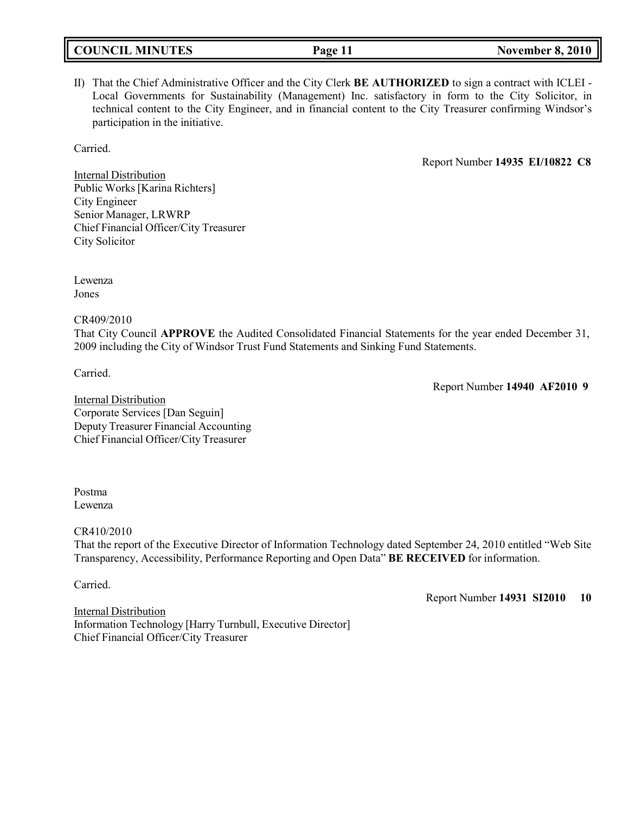**COUNCIL MINUTES Page 11 November 8, 2010**

II) That the Chief Administrative Officer and the City Clerk **BE AUTHORIZED** to sign a contract with ICLEI - Local Governments for Sustainability (Management) Inc. satisfactory in form to the City Solicitor, in technical content to the City Engineer, and in financial content to the City Treasurer confirming Windsor's participation in the initiative.

Carried.

Report Number **14935 EI/10822 C8**

**Internal Distribution** Public Works [Karina Richters] City Engineer Senior Manager, LRWRP Chief Financial Officer/City Treasurer City Solicitor

Lewenza Jones

CR409/2010

That City Council **APPROVE** the Audited Consolidated Financial Statements for the year ended December 31, 2009 including the City of Windsor Trust Fund Statements and Sinking Fund Statements.

Carried.

Report Number **14940 AF2010 9**

Internal Distribution Corporate Services [Dan Seguin] Deputy Treasurer Financial Accounting Chief Financial Officer/City Treasurer

Postma Lewenza

CR410/2010

That the report of the Executive Director of Information Technology dated September 24, 2010 entitled "Web Site Transparency, Accessibility, Performance Reporting and Open Data" **BE RECEIVED** for information.

Carried.

Report Number **14931 SI2010 10**

Internal Distribution Information Technology [Harry Turnbull, Executive Director] Chief Financial Officer/City Treasurer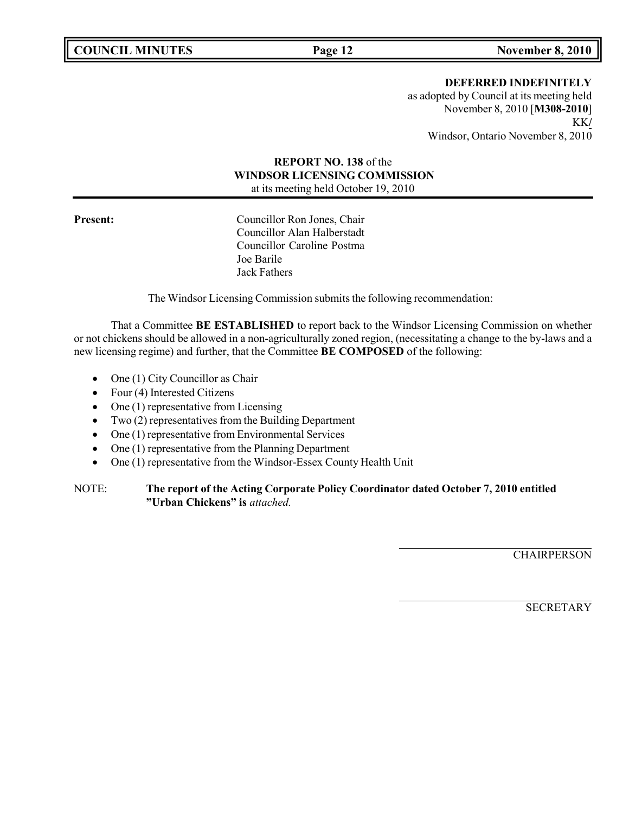**DEFERRED INDEFINITELY**

as adopted by Council at its meeting held November 8, 2010 [**M308-2010**] KK**/** Windsor, Ontario November 8, 2010

## **REPORT NO. 138** of the **WINDSOR LICENSING COMMISSION** at its meeting held October 19, 2010

**Present:** Councillor Ron Jones, Chair Councillor Alan Halberstadt Councillor Caroline Postma Joe Barile Jack Fathers

The Windsor Licensing Commission submits the following recommendation:

That a Committee **BE ESTABLISHED** to report back to the Windsor Licensing Commission on whether or not chickens should be allowed in a non-agriculturally zoned region, (necessitating a change to the by-laws and a new licensing regime) and further, that the Committee **BE COMPOSED** of the following:

- One (1) City Councillor as Chair
- Four (4) Interested Citizens
- One (1) representative from Licensing
- Two (2) representatives from the Building Department
- One (1) representative from Environmental Services
- One (1) representative from the Planning Department
- One (1) representative from the Windsor-Essex County Health Unit

### NOTE: **The report of the Acting Corporate Policy Coordinator dated October 7, 2010 entitled "Urban Chickens" is** *attached.*

**CHAIRPERSON** 

**SECRETARY**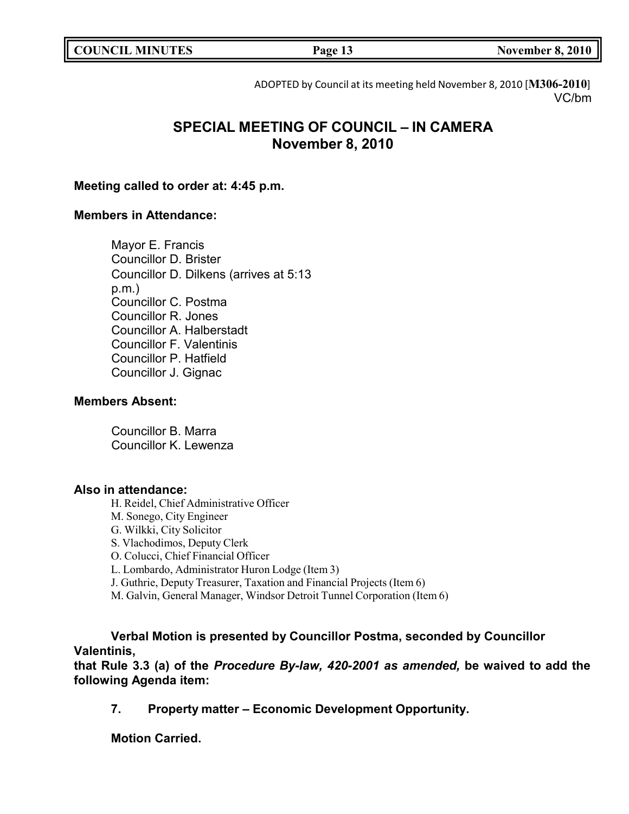**COUNCIL MINUTES Page 13 November 8, 2010**

ADOPTED by Council at its meeting held November 8, 2010 [**M306-2010**] VC/bm

# **SPECIAL MEETING OF COUNCIL – IN CAMERA November 8, 2010**

## **Meeting called to order at: 4:45 p.m.**

## **Members in Attendance:**

Mayor E. Francis Councillor D. Brister Councillor D. Dilkens (arrives at 5:13 p.m.) Councillor C. Postma Councillor R. Jones Councillor A. Halberstadt Councillor F. Valentinis Councillor P. Hatfield Councillor J. Gignac

### **Members Absent:**

Councillor B. Marra Councillor K. Lewenza

### **Also in attendance:**

H. Reidel, Chief Administrative Officer M. Sonego, City Engineer G. Wilkki, City Solicitor S. Vlachodimos, Deputy Clerk O. Colucci, Chief Financial Officer L. Lombardo, Administrator Huron Lodge (Item 3) J. Guthrie, Deputy Treasurer, Taxation and Financial Projects (Item 6) M. Galvin, General Manager, Windsor Detroit Tunnel Corporation (Item 6)

**Verbal Motion is presented by Councillor Postma, seconded by Councillor Valentinis,**

**that Rule 3.3 (a) of the** *Procedure By-law, 420-2001 as amended,* **be waived to add the following Agenda item:**

**7. Property matter – Economic Development Opportunity.**

**Motion Carried.**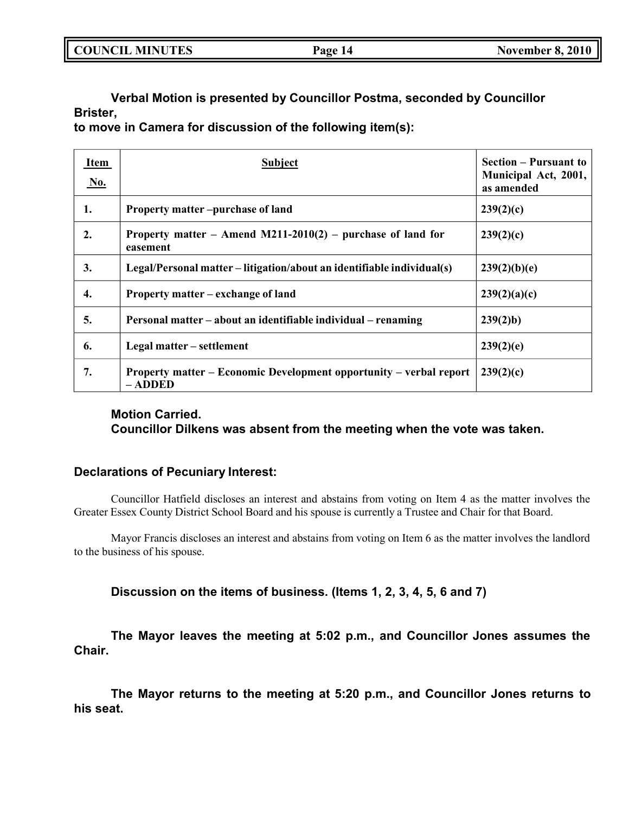| <b>COUNCIL MINUTES</b> | Page 14 | <b>November 8, 2010</b> |
|------------------------|---------|-------------------------|
|                        |         |                         |

**Verbal Motion is presented by Councillor Postma, seconded by Councillor Brister,**

**to move in Camera for discussion of the following item(s):**

| Item<br><u>No.</u> | <b>Subject</b>                                                                | <b>Section – Pursuant to</b><br>Municipal Act, 2001,<br>as amended |
|--------------------|-------------------------------------------------------------------------------|--------------------------------------------------------------------|
| 1.                 | Property matter-purchase of land                                              | 239(2)(c)                                                          |
| $\overline{2}$ .   | Property matter – Amend M211-2010(2) – purchase of land for<br>easement       | 239(2)(c)                                                          |
| 3.                 | Legal/Personal matter – litigation/about an identifiable individual(s)        | 239(2)(b)(e)                                                       |
| 4.                 | Property matter – exchange of land                                            | 239(2)(a)(c)                                                       |
| 5.                 | Personal matter – about an identifiable individual – renaming                 | 239(2)b                                                            |
| 6.                 | Legal matter – settlement                                                     | 239(2)(e)                                                          |
| 7.                 | Property matter – Economic Development opportunity – verbal report<br>– ADDED | 239(2)(c)                                                          |

## **Motion Carried. Councillor Dilkens was absent from the meeting when the vote was taken.**

## **Declarations of Pecuniary Interest:**

Councillor Hatfield discloses an interest and abstains from voting on Item 4 as the matter involves the Greater Essex County District School Board and his spouse is currently a Trustee and Chair for that Board.

Mayor Francis discloses an interest and abstains from voting on Item 6 as the matter involves the landlord to the business of his spouse.

**Discussion on the items of business. (Items 1, 2, 3, 4, 5, 6 and 7)**

**The Mayor leaves the meeting at 5:02 p.m., and Councillor Jones assumes the Chair.**

**The Mayor returns to the meeting at 5:20 p.m., and Councillor Jones returns to his seat.**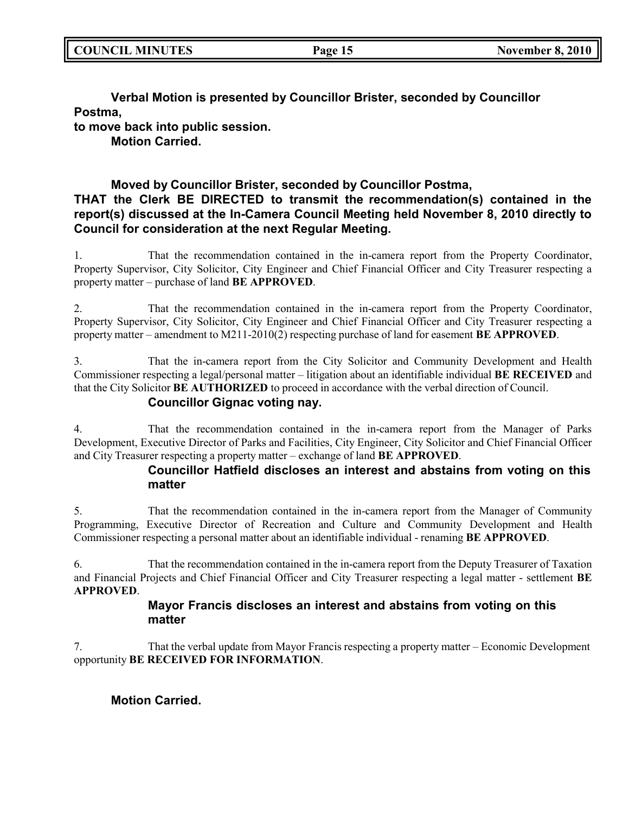**Verbal Motion is presented by Councillor Brister, seconded by Councillor Postma,**

**to move back into public session.**

**Motion Carried.**

## **Moved by Councillor Brister, seconded by Councillor Postma, THAT the Clerk BE DIRECTED to transmit the recommendation(s) contained in the report(s) discussed at the In-Camera Council Meeting held November 8, 2010 directly to Council for consideration at the next Regular Meeting.**

1. That the recommendation contained in the in-camera report from the Property Coordinator, Property Supervisor, City Solicitor, City Engineer and Chief Financial Officer and City Treasurer respecting a property matter – purchase of land **BE APPROVED**.

2. That the recommendation contained in the in-camera report from the Property Coordinator, Property Supervisor, City Solicitor, City Engineer and Chief Financial Officer and City Treasurer respecting a property matter – amendment to M211-2010(2) respecting purchase of land for easement **BE APPROVED**.

3. That the in-camera report from the City Solicitor and Community Development and Health Commissioner respecting a legal/personal matter – litigation about an identifiable individual **BE RECEIVED** and that the City Solicitor **BE AUTHORIZED** to proceed in accordance with the verbal direction of Council.

## **Councillor Gignac voting nay.**

4. That the recommendation contained in the in-camera report from the Manager of Parks Development, Executive Director of Parks and Facilities, City Engineer, City Solicitor and Chief Financial Officer and City Treasurer respecting a property matter – exchange of land **BE APPROVED**.

## **Councillor Hatfield discloses an interest and abstains from voting on this matter**

5. That the recommendation contained in the in-camera report from the Manager of Community Programming, Executive Director of Recreation and Culture and Community Development and Health Commissioner respecting a personal matter about an identifiable individual - renaming **BE APPROVED**.

6. That the recommendation contained in the in-camera report from the Deputy Treasurer of Taxation and Financial Projects and Chief Financial Officer and City Treasurer respecting a legal matter - settlement **BE APPROVED**.

## **Mayor Francis discloses an interest and abstains from voting on this matter**

7. That the verbal update from Mayor Francis respecting a property matter – Economic Development opportunity **BE RECEIVED FOR INFORMATION**.

**Motion Carried.**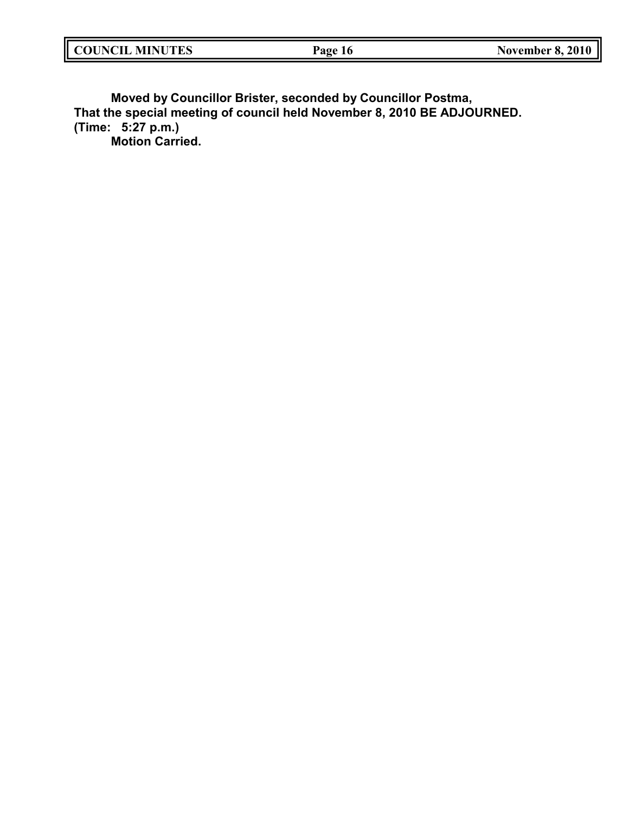| <b>COUNCIL MINUTES</b> | Page<br>10. | <b>November 8, 2010</b> |
|------------------------|-------------|-------------------------|
|                        |             |                         |

**Moved by Councillor Brister, seconded by Councillor Postma, That the special meeting of council held November 8, 2010 BE ADJOURNED. (Time: 5:27 p.m.) Motion Carried.**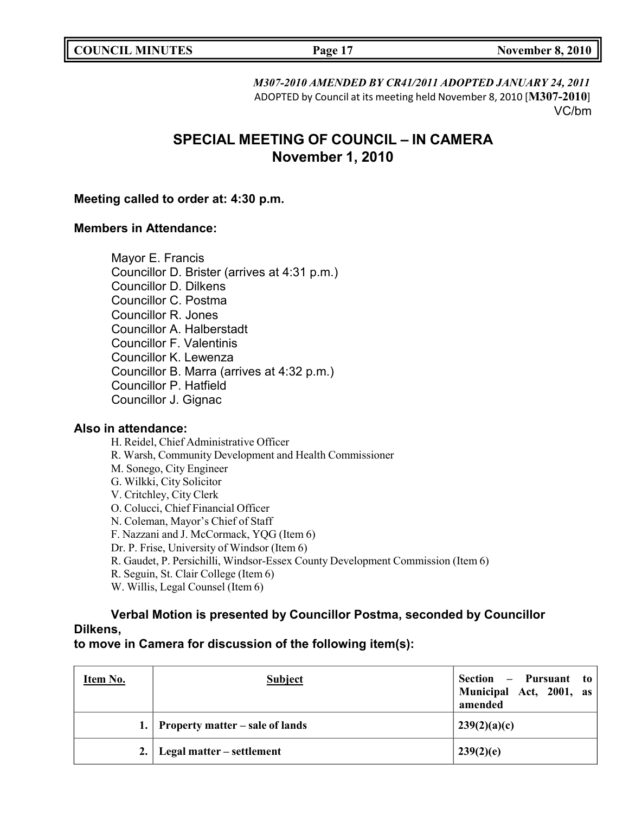| <b>COUNCIL MINUTES</b> |  |
|------------------------|--|
|------------------------|--|

*M307-2010 AMENDED BY CR41/2011 ADOPTED JANUARY 24, 2011* ADOPTED by Council at its meeting held November 8, 2010 [**M307-2010**] VC/bm

# **SPECIAL MEETING OF COUNCIL – IN CAMERA November 1, 2010**

## **Meeting called to order at: 4:30 p.m.**

## **Members in Attendance:**

Mayor E. Francis Councillor D. Brister (arrives at 4:31 p.m.) Councillor D. Dilkens Councillor C. Postma Councillor R. Jones Councillor A. Halberstadt Councillor F. Valentinis Councillor K. Lewenza Councillor B. Marra (arrives at 4:32 p.m.) Councillor P. Hatfield Councillor J. Gignac

### **Also in attendance:**

H. Reidel, Chief Administrative Officer R. Warsh, Community Development and Health Commissioner M. Sonego, City Engineer G. Wilkki, City Solicitor V. Critchley, City Clerk O. Colucci, Chief Financial Officer N. Coleman, Mayor's Chief of Staff F. Nazzani and J. McCormack, YQG (Item 6) Dr. P. Frise, University of Windsor (Item 6) R. Gaudet, P. Persichilli, Windsor-Essex County Development Commission (Item 6) R. Seguin, St. Clair College (Item 6) W. Willis, Legal Counsel (Item 6)

# **Verbal Motion is presented by Councillor Postma, seconded by Councillor Dilkens,**

**to move in Camera for discussion of the following item(s):**

| Item No. | <b>Subject</b>                     | Section – Pursuant to<br>Municipal Act, 2001, as<br>amended |
|----------|------------------------------------|-------------------------------------------------------------|
|          | 1. Property matter – sale of lands | 239(2)(a)(c)                                                |
|          | 2.   Legal matter – settlement     | 239(2)(e)                                                   |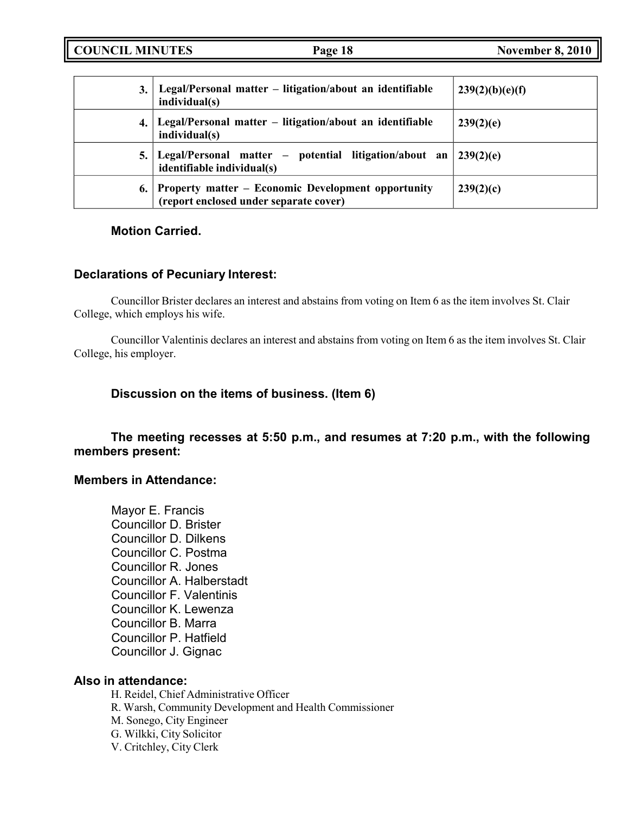**COUNCIL MINUTES Page 18 November 8, 2010**

| 3. | Legal/Personal matter – litigation/about an identifiable<br>individual(s)                    | 239(2)(b)(e)(f) |
|----|----------------------------------------------------------------------------------------------|-----------------|
| 4. | Legal/Personal matter – litigation/about an identifiable<br>individual(s)                    | 239(2)(e)       |
|    | Legal/Personal matter – potential litigation/about an<br>identifiable individual(s)          | 239(2)(e)       |
| 6. | Property matter - Economic Development opportunity<br>(report enclosed under separate cover) | 239(2)(c)       |

## **Motion Carried.**

## **Declarations of Pecuniary Interest:**

Councillor Brister declares an interest and abstains from voting on Item 6 as the item involves St. Clair College, which employs his wife.

Councillor Valentinis declares an interest and abstains from voting on Item 6 as the item involves St. Clair College, his employer.

## **Discussion on the items of business. (Item 6)**

## **The meeting recesses at 5:50 p.m., and resumes at 7:20 p.m., with the following members present:**

## **Members in Attendance:**

Mayor E. Francis Councillor D. Brister Councillor D. Dilkens Councillor C. Postma Councillor R. Jones Councillor A. Halberstadt Councillor F. Valentinis Councillor K. Lewenza Councillor B. Marra Councillor P. Hatfield Councillor J. Gignac

## **Also in attendance:**

H. Reidel, Chief Administrative Officer R. Warsh, Community Development and Health Commissioner M. Sonego, City Engineer G. Wilkki, City Solicitor V. Critchley, City Clerk